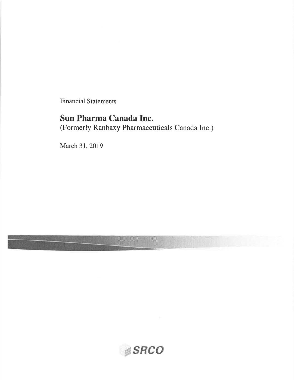Financial Statements

# Sun Pharma Canada Inc.

(Formerly Ranbaxy Pharmaceuticals Canada Inc. )

March 31, 2019

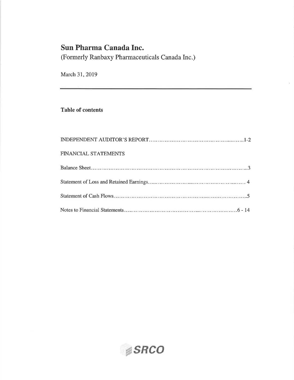# Sun Pharma Canada Inc.

(Formerly Ranbaxy Pharmaceuticals Canada Inc. )

March 31,2019

# Table of contents

| INDEPENDENT AUDITOR'S REPORT. |
|-------------------------------|
| FINANCIAL STATEMENTS          |
|                               |
|                               |
|                               |
|                               |

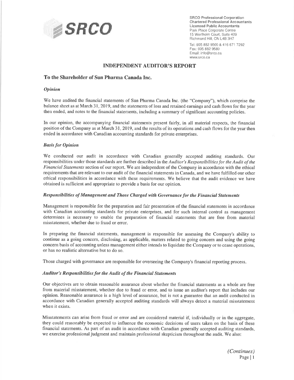

SRCO Pro{essional Corporation Chartered Professional Accountants Licensed Public Accountants Park Place Corporate Centre 15 Wertheim Court, Suite 409 Richmond Hill, ON L4B 3H7

Tel:905 882 9500 &416671 7292 Fax: 905 882 9580 Email: info@srco.ca www.srco.ca

#### INDEPENDENT AUDITOR'S REPORT

### To the Shareholder of Sun Pharma Canada Inc.

#### Opinion

We have audited the financial statements of Sun Pharma Canada Inc. (the "Company"), which comprise the balance sheet as at March 3l ,2019 , and the statements of loss and retained earnings and cash flows for the year then ended, and notes to the financial statements, including a summary of significant accounting policies.

In our opinion, the accompanying financial statements present fairly, in all material respects, the financial position of the Company as at March 31, 2019, and the results of its operations and cash flows for the year then ended in accotdance with Canadian accounting standards for private enterprises.

#### Basis for Opinion

We conducted our audit in accordance with Canadian generally accepted auditing standards. Our responsibilities under those standards are further described in the Auditor's Responsibilities for the Audit of the Financial Statements section of our report. We are independent of the Company in accordance with the ethical requirements that are relevant to our audit of the financial statements in Canada, and we have fulfilled our other ethical responsibilities in accordance with these requirements. We believe that the audit evidence we have obtained is sufficient and appropriate to provide a basis for our opinion.

#### Responsibilities of Management and Those Charged with Governance for the Financial Statements

Management is responsible for the preparation and fair presentation of the financial statements in accordance with Canadian accounting standards for private enterprises, and for such internal control as management determines is necessary to enable the preparation of financial statements that are free from material misstatement, whether due to fraud or error.

In preparing the financial statements, management is responsible for assessing the Company's ability to continue as a going concern, disclosing, as applicable, matters related to going concern and using the going concern basis of accounting unless management either intends to liquidate the Company or to cease operations, or has no realistic alternative but to do so.

Those charged with governance are responsible for overseeing the Company's financial reporting process.

#### Auditor's Responsibilities for the Audit of the Financial Statements

Our objectives are to obtain reasonable assurance about whether the financial statements as a whole are free from material misstatement, whether due to fraud or error, and to issue an auditor's report that includes our opinion. Reasonable assurance is a high level of assurance, but is not a guarantee that an audit conducted in accordance with Canadian generally accepted auditing standatds will always detect a material misstatement when it exists.

Misstatements can arise from fraud or error and are considered material if, individually or in the aggregate, they could reasonably be expected to influence the economic decisions of users taken on the basis of these financial statements. As part of an audit in accordance with Canadian generally accepted auditing standards, we exercise professional judgment and maintain professional skepticism throughout the audit. We also:

> (Continues) Page | 1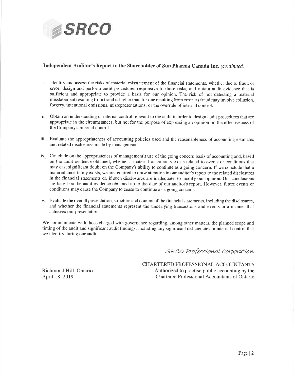

## Independent Auditor's Report to the Shareholder of Sun Pharma Canada Inc. (continued)

- i. Identify and assess the risks of material misstatement of the financial statements, whethet due to fraud or error, design and perform audit procedures responsive to those risks, and obtain audit evidence that is sufficient and appropriate to provide a basis for our opinion. The risk of not detecting a material misstatement resulting from fraud is higher than for one resulting from error, as fraud may involve collusion, forgery, intentional omissions, misrepresentations, or the override of internal control.
- ii. Obtain an understanding of internal control relevant to the audit in order to design audit procedures that are appropriate in the circumstances, but not for the purpose of expressing an opinion on the effectiveness of the Company's internal control.
- iii. Evaluate the appropriateness of accounting policies used and the reasonableness of accounting estimates and related disclosures made by management.
- iv. Conclude on the appropriateness of management's use of the going concern basis of accounting and, based on the audit evidence obtained, whethet a material uncertainty exists related to events or conditions that may cast significant doubt on the Company's ability to continue as a going concern. If we conclude that <sup>a</sup> material uncertainty exists, we are required to draw attention in our auditor's report to the related disclosures in the financial statements or, if such disclosures are inadequate, to modify our opinion. Our conclusions ate based on the audit evidence obtained up to the date of our auditor's report. However, future events or conditions may cause the Company to cease to continue as a going concern.
- Evaluate the overall presentation, structure and content of the financial statements, including the disclosures, and whether the financial statements represent the underlying transactions and events in a manner that achieves fair presentation.

We communicate with those charged with governance regarding, among other matters, the planned scope and timing of the audit and significant audit findings, including any significant deficiencies in internal control that we identify during our audit.

SRCO Professional Corporation

CHARTERED PROFESSIONAL ACCOUNTANTS Authorized to practise public accounting by the Chartered Professional Accountants of Ontario

Richmond Hill, Ontario April 18,2019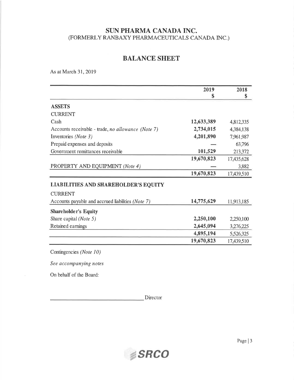# BALANCE SHEET

As at March 31,2019

|                                                    | 2019       | 2018       |
|----------------------------------------------------|------------|------------|
|                                                    | \$         | \$         |
| <b>ASSETS</b>                                      |            |            |
| <b>CURRENT</b>                                     |            |            |
| Cash                                               | 12,633,389 | 4,812,335  |
| Accounts receivable - trade, no allowance (Note 7) | 2,734,015  | 4,384,138  |
| Inventories (Note 3)                               | 4,201,890  | 7,961,987  |
| Prepaid expenses and deposits                      |            | 63,796     |
| Government remittances receivable                  | 101,529    | 213,372    |
|                                                    | 19,670,823 | 17,435,628 |
| PROPERTY AND EQUIPMENT (Note 4)                    |            | 3,882      |
|                                                    | 19,670,823 | 17,439,510 |
| <b>LIABILITIES AND SHAREHOLDER'S EQUITY</b>        |            |            |
| <b>CURRENT</b>                                     |            |            |
| Accounts payable and accrued liabilities (Note 7)  | 14,775,629 | 11,913,185 |
| <b>Shareholder's Equity</b>                        |            |            |
| Share capital (Note 5)                             | 2,250,100  | 2,250,100  |
| Retained earnings                                  | 2,645,094  | 3,276,225  |
|                                                    | 4,895,194  | 5,526,325  |
|                                                    |            |            |

See accompanying notes

On behalf of the Board:

**Director** 

 $$S RCO$ 

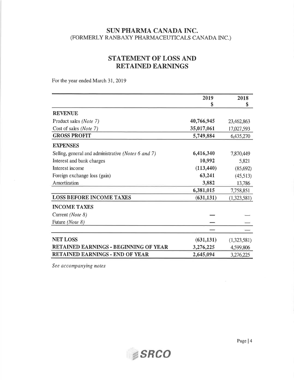# STATEMENT OF LOSS AND RETAINED EARNINGS

For the year ended March 3I,2019

|                                                     | 2019       | 2018        |
|-----------------------------------------------------|------------|-------------|
|                                                     | \$         | \$          |
| <b>REVENUE</b>                                      |            |             |
| Product sales (Note 7)                              | 40,766,945 | 23,462,863  |
| Cost of sales (Note 7)                              | 35,017,061 | 17,027,593  |
| <b>GROSS PROFIT</b>                                 | 5,749,884  | 6,435,270   |
| <b>EXPENSES</b>                                     |            |             |
| Selling, general and administrative (Notes 6 and 7) | 6,416,340  | 7,870,449   |
| Interest and bank charges                           | 10,992     | 5,821       |
| Interest income                                     | (113, 440) | (85,692)    |
| Foreign exchange loss (gain)                        | 63,241     | (45,513)    |
| Amortization                                        | 3,882      | 13,786      |
|                                                     | 6,381,015  | 7,758,851   |
| <b>LOSS BEFORE INCOME TAXES</b>                     | (631, 131) | (1,323,581) |
| <b>INCOME TAXES</b>                                 |            |             |
| Current (Note 8)                                    |            |             |
| Future (Note 8)                                     |            |             |
|                                                     |            |             |
| <b>NET LOSS</b>                                     | (631, 131) | (1,323,581) |
| <b>RETAINED EARNINGS - BEGINNING OF YEAR</b>        | 3,276,225  | 4,599,806   |
| <b>RETAINED EARNINGS - END OF YEAR</b>              | 2,645,094  | 3,276,225   |

" snco

See accompanying notes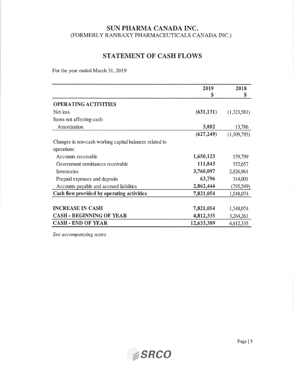# STATEMENT OF CASH FLOWS

For the year ended March 31,2019

|                                                         | 2019       | 2018        |
|---------------------------------------------------------|------------|-------------|
|                                                         | \$         | \$          |
| <b>OPERATING ACTIVITIES</b>                             |            |             |
| Net loss                                                | (631, 131) | (1,323,581) |
| Items not affecting cash:                               |            |             |
| Amortization                                            | 3,882      | 13,786      |
|                                                         | (627, 249) | (1,309,795) |
| Changes in non-cash working capital balances related to |            |             |
| operations:                                             |            |             |
| Accounts receivable                                     | 1,650,123  | 159,799     |
| Government remittances receivable                       | 111,843    | 352,657     |
| Inventories                                             | 3,760,097  | 2,826,961   |
| Prepaid expenses and deposits                           | 63,796     | 314,001     |
| Accounts payable and accrued liabilities                | 2,862,444  | (795, 549)  |
| Cash flow provided by operating activities              | 7,821,054  | 1,548,074   |
|                                                         |            |             |
| <b>INCREASE IN CASH</b>                                 | 7,821,054  | 1,548,074   |
| <b>CASH - BEGINNING OF YEAR</b>                         | 4,812,335  | 3,264,261   |
| <b>CASH - END OF YEAR</b>                               | 12,633,389 | 4,812,335   |

See accompanying notes

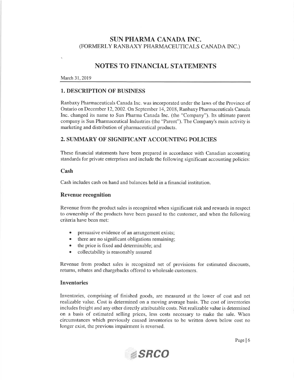# NOTES TO FINANCIAL STATEMENTS

#### March 31,2019

## 1. DESCRIPTION OF BUSINESS

Ranbaxy Pharmaceuticals Canada Inc. was incorporated under the laws of the Province of Ontario on December 12,2002. On September 14,2018, Ranbaxy Pharmaceuticals Canada Inc. changed its name to Sun Pharma Canada Inc. (the "Company"). Its ultimate parent company is Sun Pharmaceutical Industries (the "Parent"). The Company's main activity is marketing and distribution of pharmaceutical products.

## 2. SUMMARY OF' SIGNIFICANT ACCOUNTING POLICIES

These financial statements have been prepared in accordance with Canadian accounting standards for private enterprises and include the following significant accounting policies:

### Cash

Cash includes cash on hand and balances held in a financial institution.

## Revenue recognition

Revenue from the product sales is recognized when significant risk and rewards in respect to ownership of the products have been passed to the customer, and when the following criteria have been met:

- persuasive evidence of an arrangement exists;
- $\bullet$  there are no significant obligations remaining;
- the price is fixed and determinable; and
- collectability is reasonably assured

Revenue from product sales is recognized net of provisions for estimated discounts, returns, rebates and chargebacks offered to wholesale customers.

#### Inventories

Inventories, comprising of finished goods, are measured at the lower of cost and net realizable value. Cost is determined on a moving average basis. The cost of inventories includes freight and any other directly attributable costs. Net realizable value is determined on a basis of estimated selling prices, less costs necessary to make the sale. When circumstances which previously caused inventories to be written down below cost no longer exist, the previous impairment is reversed.

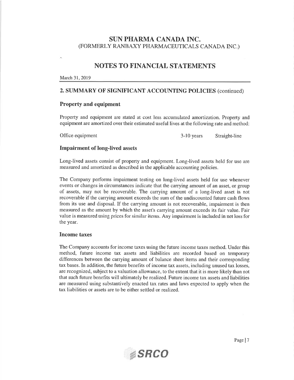# NOTES TO FINANCIAL STATEMENTS

#### March 31,2019

## 2. SUMMARY OF SIGNIFICANT ACCOUNTING POLICIES (continued)

## Property and equipment

Property and equipment are stated at cost less accumulated amortization. Property and equipment are amortized over their estimated useful lives at the following rate and method:

Office equipment 3-10 years Straight-line

## Impairment of long-lived assets

Long-lived assets consist of property and equipment. Long-lived assets held for use are measured and amortized as described in the applicable accounting policies.

The Company performs impairment testing on long-lived assets held for use whenever events or changes in circumstances indicate that the carrying amount of an asset, or group of assets, may not be recoverable. The carrying amount of a long-lived asset is not recoverable if the carrying amount exceeds the sum of the undiscounted future cash flows from its use and disposal. If the carrying amount is not recoverable, impairment is then measured as the amount by which the asset's carrying amount exceeds its fair value. Fair value is measured using prices for similar items. Any impairment is included in net loss for the year.

### Income taxes

The Company accounts for income taxes using the future income taxes method. Under this method, future income tax assets and liabilities are recorded based on temporary differences between the carrying amount of balance sheet items and their corresponding tax bases. In addition, the future benefits of income tax assets, including unused tax losses, are recognized, subject to a valuation allowance, to the extent that it is more likely than not that such future benefits will ultimately be realized. Future income tax assets and liabilities are measured using substantively enacted tax rates and laws expected to apply when the tax liabilities or assets are to be either settled or realized.

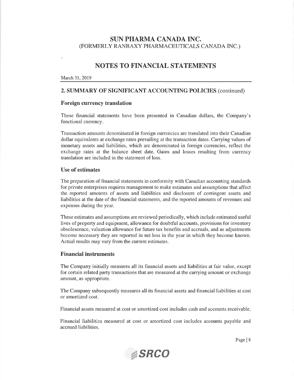# NOTES TO FINANCIAL STATEMENTS

#### March 31, 2019

## 2. SUMMARY OF SIGNIFICANT ACCOUNTING POLICIES (continued)

### Foreign currency translation

These financial statements have been presented in Canadian dollars, the Company's functional currency.

Transaction amounts denominated in foreign currencies are translated into their Canadian dollar equivalents at exchange rates prevailing at the transaction dates. Carrying values of monetary assets and liabilities, which are denominated in foreign currencies, reflect the exchange rates at the balance sheet date. Gains and losses resulting from currency translation are included in the statement of loss.

## Use of estimates

The preparation of financial statements in conformity with Canadian accounting standards for private enterprises requires management to make estimates and assumptions that affect the reported amounts of assets and liabilities and disclosure of contingent assets and liabilities at the date of the financial statements, and the reported amounts of revenues and expenses during the year.

These estimates and assumptions are reviewed periodically, which include estimated useful lives of property and equipment, allowance for doubtful accounts, provisions for inventory obsolescence, valuation allowance for future tax benefits and accruals, and as adjustments become necessary they are reported in net loss in the year in which they become known. Actual results may vary from the current estimates.

## Financial instruments

The Company initially measures all its financial assets and liabilities at fair value, except for ceftain related party transactions that are measured at the carrying amount or exchange amount, as appropriate.

The Company subsequently measures all its financial assets and financial liabilities at cost or amortized cost.

Financial assets measured at cost or amortized cost includes cash and accounts receivable

Financial liabilities measured at cost or amortized cost includes accounts payable and accrued liabilities.

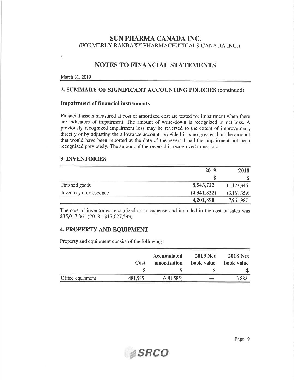## NOTES TO FINANCIAL STATEMENTS

March 31, 2019

## 2. SUMMARY OF SIGNIFICANT ACCOUNTING POLICIES (continued)

## **Impairment of financial instruments**

Financial assets measured at cost or amortized cost are tested for impairment when there are indicators of impairment. The amount of write-down is recognized in net loss. A previously recognized impairment loss may be reversed to the extent of improvement, directly or by adjusting the allowance account, provided it is no greater than the amount that would have been reported at the date of the reversal had the impairment not been recognized previously. The amount of the reversal is recognized in net loss.

## 3.INVENTORIES

|                        | 2019        | 2018        |
|------------------------|-------------|-------------|
|                        |             | ¢           |
| Finished goods         | 8,543,722   | 11,123,346  |
| Inventory obsolescence | (4,341,832) | (3,161,359) |
|                        | 4,201,890   | 7,961,987   |

The cost of inventories recognized as an expense and included in the cost of sales was \$35,017,061 (2019 - 517,027,593).

### 4. PROPERTY AND EQUIPMENT

Property and equipment consist of the following.

|                  | <b>Cost</b> | <b>Accumulated</b><br>amortization | <b>2019 Net</b><br>book value | <b>2018 Net</b><br>book value |
|------------------|-------------|------------------------------------|-------------------------------|-------------------------------|
|                  |             |                                    |                               |                               |
| Office equipment | 481,585     | (481, 585)                         | $\overline{\phantom{a}}$      | 3,882                         |

 $$SRCO$ 

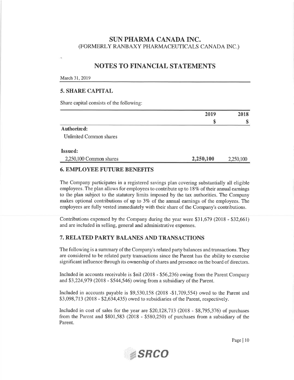# NOTES TO FINANCIAL STATEMENTS

#### March 3l,20l9

## 5. SHARE CAPITAL

Share capital consists of the following:

| \$        |           |
|-----------|-----------|
|           | \$        |
|           |           |
|           |           |
|           |           |
| 2,250,100 | 2,250,100 |
|           |           |

## 6. EMPLOYEE FUTURE BENEFITS

The Company participates in a registered savings plan covering substantially all eligible employees. The plan allows for employees to contribute up to 18% of their annual earnings to the plan subject to the statutory limits imposed by the tax authorities. The Company makes optional contributions of up to  $3\%$  of the annual earnings of the employees. The employees are fully vested immediately with their share of the Company's contributions.

Contributions expensed by the Company during the year were \$31,679 (2018 - \$32,661) and are included in selling, general and administrative expenses.

## 7. RELATED PARTY BALANES AND TRANSACTIONS

The following is a summary of the Company's related party balances and transactions. They are considered to be related party transactions since the Parent has the ability to exercise significant influence through its ownership of shares and presence on the board of directors.

Included in accounts receivable is \$nil (2018 - \$56,236) owing from the Parent Company and \$3,224,979 (2018 - \$544,546) owing from a subsidiary of the Parent.

Included in accounts payable is \$9,530,158 (2018 -\$1,709,554) owed to the Parent and \$3,098,713 (2018 - \$2,634,435) owed to subsidiaries of the Parent, respectively.

Included in cost of sales for the year are \$20,128,713 (2018 - \$8,795,376) of purchases from the Parent and \$801,583 (2018 - \$580,250) of purchases from a subsidiary of the Parent.

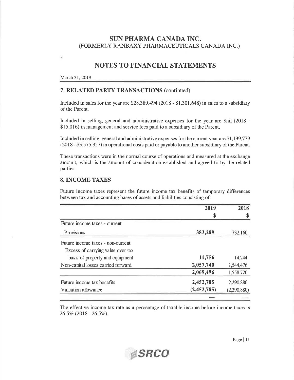# NOTES TO FINANCIAL STATEMENTS

#### March 31, 2019

## 7. RELATED PARTY TRANSACTIONS (continued)

Included in sales for the year are  $$28,389,494 (2018 - $1,301,648)$  in sales to a subsidiary of the Parent.

Included in selling, general and administrative expenses for the year are \$nil (2018 - \$15,016) in management and service fees paid to a subsidiary of the Parent.

Included in selling, general and administrative expenses for the current year are\$1,139,779  $(2018 - $3,575,957)$  in operational costs paid or payable to another subsidiary of the Parent.

These transactions were in the normal course of operations and measured at the exchange amount, which is the amount of consideration established and agreed to by the related parties.

### s.INCOME TAXES

Future income taxes represent the future income tax benefits of temporary differences between tax and accounting bases of assets and liabilities consisting of:

|                                    | 2019        | 2018        |
|------------------------------------|-------------|-------------|
|                                    | \$          | \$          |
| Future income taxes - current      |             |             |
| Provisions                         | 383,289     | 732,160     |
| Future income taxes - non-current  |             |             |
| Excess of carrying value over tax  |             |             |
| basis of property and equipment    | 11,756      | 14,244      |
| Non-capital losses carried forward | 2,057,740   | 1,544,476   |
|                                    | 2,069,496   | 1,558,720   |
| Future income tax benefits         | 2,452,785   | 2,290,880   |
| Valuation allowance                | (2,452,785) | (2,290,880) |
|                                    |             |             |

The effective income tax rate as a percentage of taxable income before income taxes is 26.5Vo (2018 - 26.5Vo).

 $\textcircled{\textit{sRCO}}$ 

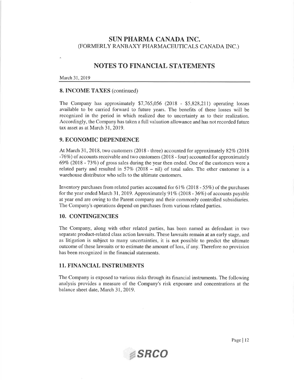## NOTES TO FINANCIAL STATEMENTS

#### March 31,2019

#### 8. INCOME TAXES (continued)

The Company has approximately \$7,765,056 (2018 - \$5,828,211) operating losses available to be carried forward to future years. The benefits of these losses will be recognized in the period in which realized due to uncertainty as to their realization. Accordingly, the Company has taken a full valuation allowance and has not recorded future tax asset as at March 31,2019.

## 9. ECONOMIC DEPENDENCE

At March 31,2018, two customers (2018 - three) accounted for approximately 82% (2018  $-76\%$ ) of accounts receivable and two customers (2018 - four) accounted for approximately 69% (2018 - 73%) of gross sales during the year then ended. One of the customers were a related party and resulted in  $57\%$  (2018 - nil) of total sales. The other customer is a warehouse distributor who sells to the ultimate customers.

Inventory purchases from related parties accounted for  $61\%$  (2018 - 55%) of the purchases for the year ended March 31, 2019. Approximately  $91\%$  (2018 - 36%) of accounts payable at year end are owing to the Parent company and their commonly controlled subsidiaries. The Company's operations depend on purchases from various related parties.

## 10. CONTINGENCIES

The Company, along with other related pafties, has been named as defendant in two separate product-related class action lawsuits. These lawsuits remain at an early stage, and as litigation is subject to many uncertainties, it is not possible to predict the ultimate outcome of these lawsuits or to estimate the amount of loss, if any. Therefore no provision has been recognized in the financial statements.

## 11. FINANCIAL INSTRUMENTS

The Company is exposed to various risks through its financial instruments. The following analysis provides a measure of the Company's risk exposure and concentrations at the balance sheet date, March 3l,2019.

sRco

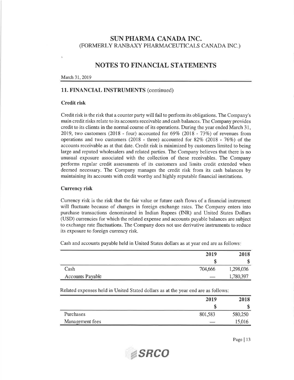## NOTES TO FINANCIAL STATEMENTS

#### March 31,2019

## 11. FINANCIAL INSTRUMENTS (continued)

#### Credit risk

Credit risk is the risk that a counter party will fail to perform its obligations. The Company's main credit risks relate to its accounts receivable and cash balances. The Company provides credit to its clients in the normal course of its operations. During the year ended March 31 , 2019, two customers (2018 - four) accounted for  $69\%$  (2018 - 73%) of revenues from operations and two customers (2018 - three) accounted for  $82\%$  (2018 - 76%) of the accounts receivable as at that date. Credit risk is minimized by customers limited to being large and reputed wholesalers and related parties. The Company believes that there is no unusual exposure associated with the collection of these receivables. The Company performs regular credit assessments of its customers and limits credit extended when deemed necessary. The Company manages the credit risk from its cash balances by maintaining its accounts with credit worthy and highly reputable financial institutions.

#### Currency risk

Currency risk is the risk that the fair value or future cash flows of a financial instrument will fluctuate because of changes in foreign exchange rates. The Company enters into purchase transactions denominated in Indian Rupees (NR) and United States Dollars (USD) currencies for which the related expense and accounts payable balances are subject to exchange rate fluctuations. The Company does not use derivative instruments to reduce its exposure to foreign currency risk.

Cash and accounts payable held in United States dollars as at year end are as follows

|                         | 2019                     |           |
|-------------------------|--------------------------|-----------|
|                         | ۱D                       |           |
| Cash                    | 704,666                  | 1,298,036 |
| <b>Accounts Payable</b> | $\overline{\phantom{0}}$ | 1,780,397 |

Related expenses held in United Stated dollars as at the year end are as follows:

|                 |         | 2019<br>2018 |  |
|-----------------|---------|--------------|--|
|                 | ۸D      | œ<br>۱D      |  |
| Purchases       | 801,583 | 580,250      |  |
| Management fees | $-1$    | 15,016       |  |